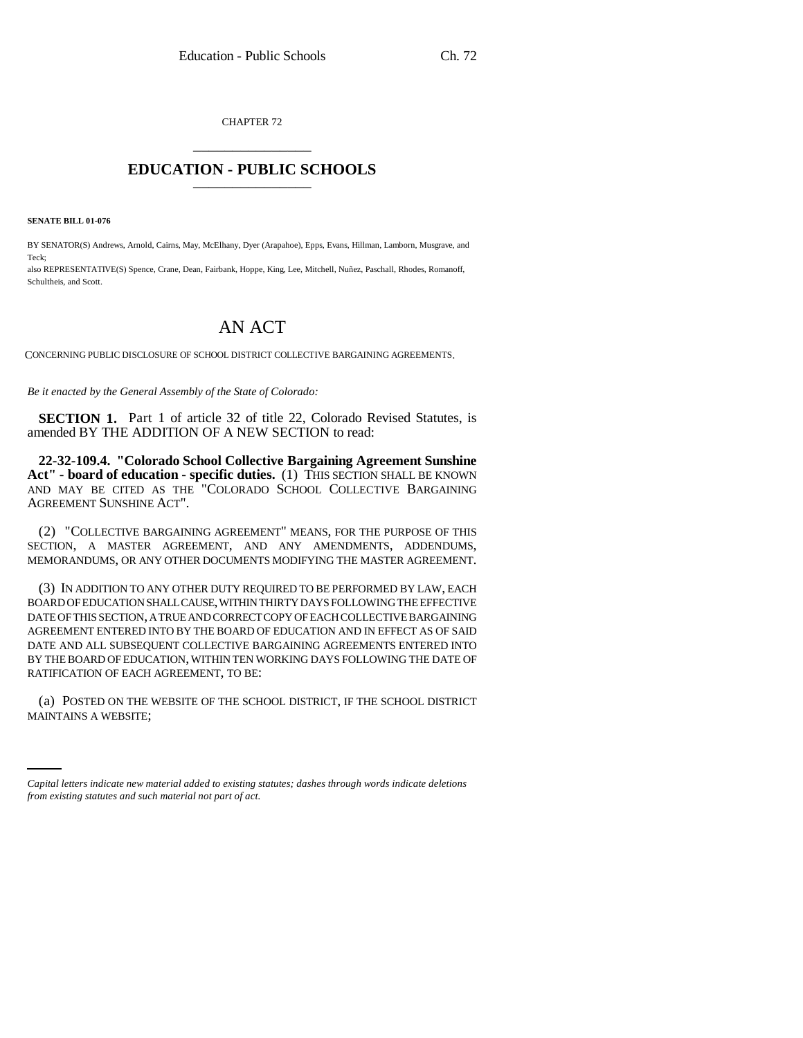CHAPTER 72 \_\_\_\_\_\_\_\_\_\_\_\_\_\_\_

## **EDUCATION - PUBLIC SCHOOLS** \_\_\_\_\_\_\_\_\_\_\_\_\_\_\_

**SENATE BILL 01-076**

BY SENATOR(S) Andrews, Arnold, Cairns, May, McElhany, Dyer (Arapahoe), Epps, Evans, Hillman, Lamborn, Musgrave, and Teck;

also REPRESENTATIVE(S) Spence, Crane, Dean, Fairbank, Hoppe, King, Lee, Mitchell, Nuñez, Paschall, Rhodes, Romanoff, Schultheis, and Scott.

## AN ACT

CONCERNING PUBLIC DISCLOSURE OF SCHOOL DISTRICT COLLECTIVE BARGAINING AGREEMENTS.

*Be it enacted by the General Assembly of the State of Colorado:*

**SECTION 1.** Part 1 of article 32 of title 22, Colorado Revised Statutes, is amended BY THE ADDITION OF A NEW SECTION to read:

**22-32-109.4. "Colorado School Collective Bargaining Agreement Sunshine** Act" - board of education - specific duties. (1) THIS SECTION SHALL BE KNOWN AND MAY BE CITED AS THE "COLORADO SCHOOL COLLECTIVE BARGAINING AGREEMENT SUNSHINE ACT".

(2) "COLLECTIVE BARGAINING AGREEMENT" MEANS, FOR THE PURPOSE OF THIS SECTION, A MASTER AGREEMENT, AND ANY AMENDMENTS, ADDENDUMS, MEMORANDUMS, OR ANY OTHER DOCUMENTS MODIFYING THE MASTER AGREEMENT.

(3) IN ADDITION TO ANY OTHER DUTY REQUIRED TO BE PERFORMED BY LAW, EACH BOARD OF EDUCATION SHALL CAUSE, WITHIN THIRTY DAYS FOLLOWING THE EFFECTIVE DATE OF THIS SECTION, A TRUE AND CORRECT COPY OF EACH COLLECTIVE BARGAINING AGREEMENT ENTERED INTO BY THE BOARD OF EDUCATION AND IN EFFECT AS OF SAID DATE AND ALL SUBSEQUENT COLLECTIVE BARGAINING AGREEMENTS ENTERED INTO BY THE BOARD OF EDUCATION, WITHIN TEN WORKING DAYS FOLLOWING THE DATE OF RATIFICATION OF EACH AGREEMENT, TO BE:

(a) POSTED ON THE WEBSITE OF THE SCHOOL DISTRICT, IF THE SCHOOL DISTRICT MAINTAINS A WEBSITE;

*Capital letters indicate new material added to existing statutes; dashes through words indicate deletions from existing statutes and such material not part of act.*